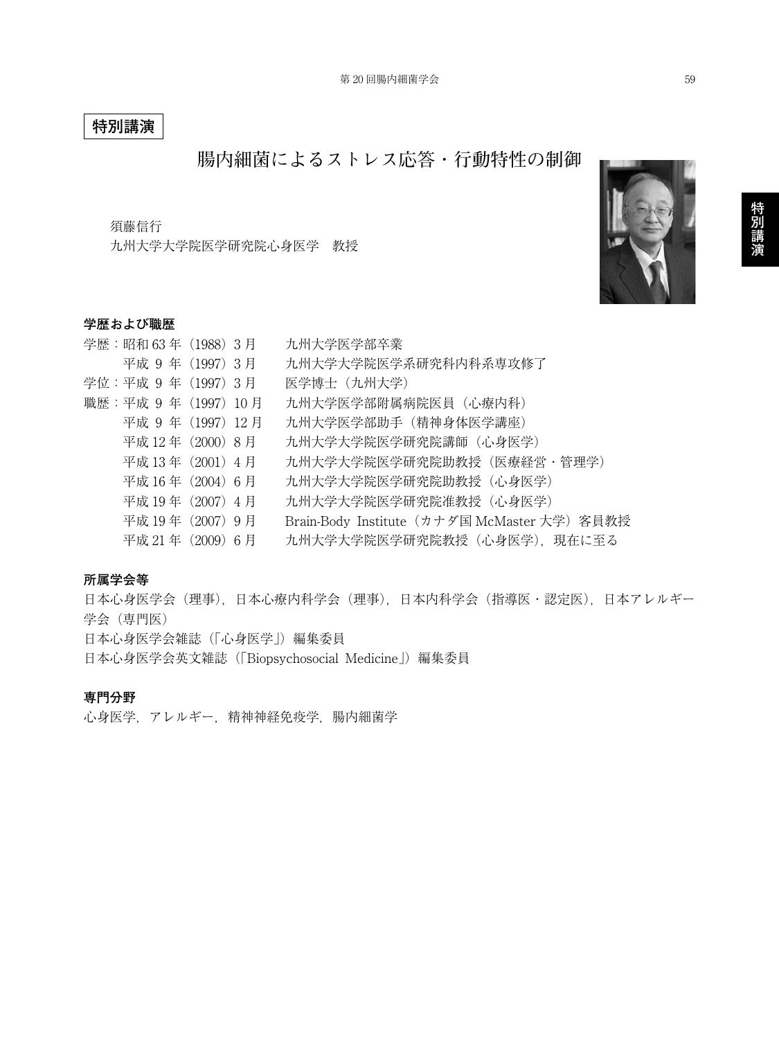# **特別講演**

# **腸内細菌によるストレス応答・行動特性の制御**

須藤信行

九州大学大学院医学研究院心身医学 教授

## **学歴および職歴**

| 学歴:昭和63年 (1988) 3月  |  | 九州大学医学部卒業                                    |
|---------------------|--|----------------------------------------------|
| 平成 9年 (1997) 3月     |  | 九州大学大学院医学系研究科内科系専攻修了                         |
| 学位:平成 9年 (1997) 3月  |  | 医学博士 (九州大学)                                  |
| 職歴:平成 9年 (1997) 10月 |  | 九州大学医学部附属病院医員(心療内科)                          |
| 平成 9年 (1997) 12月    |  | 九州大学医学部助手(精神身体医学講座)                          |
| 平成 12年 (2000) 8月    |  | 九州大学大学院医学研究院講師(心身医学)                         |
| 平成 13年 (2001) 4月    |  | 九州大学大学院医学研究院助教授 (医療経営・管理学)                   |
| 平成 16年 (2004) 6月    |  | 九州大学大学院医学研究院助教授(心身医学)                        |
| 平成 19年 (2007) 4月    |  | 九州大学大学院医学研究院准教授(心身医学)                        |
| 平成 19年 (2007) 9月    |  | Brain-Body Institute (カナダ国 McMaster 大学) 客員教授 |
| 平成 21年 (2009) 6月    |  | 九州大学大学院医学研究院教授 (心身医学), 現在に至る                 |

#### **所属学会等**

日本心身医学会(理事),日本心療内科学会(理事),日本内科学会(指導医・認定医),日本アレルギー 学会(専門医) 日本心身医学会雑誌(「心身医学」)編集委員

日本心身医学会英文雑誌(「Biopsychosocial Medicine」)編集委員

## **専門分野**

心身医学,アレルギー,精神神経免疫学,腸内細菌学

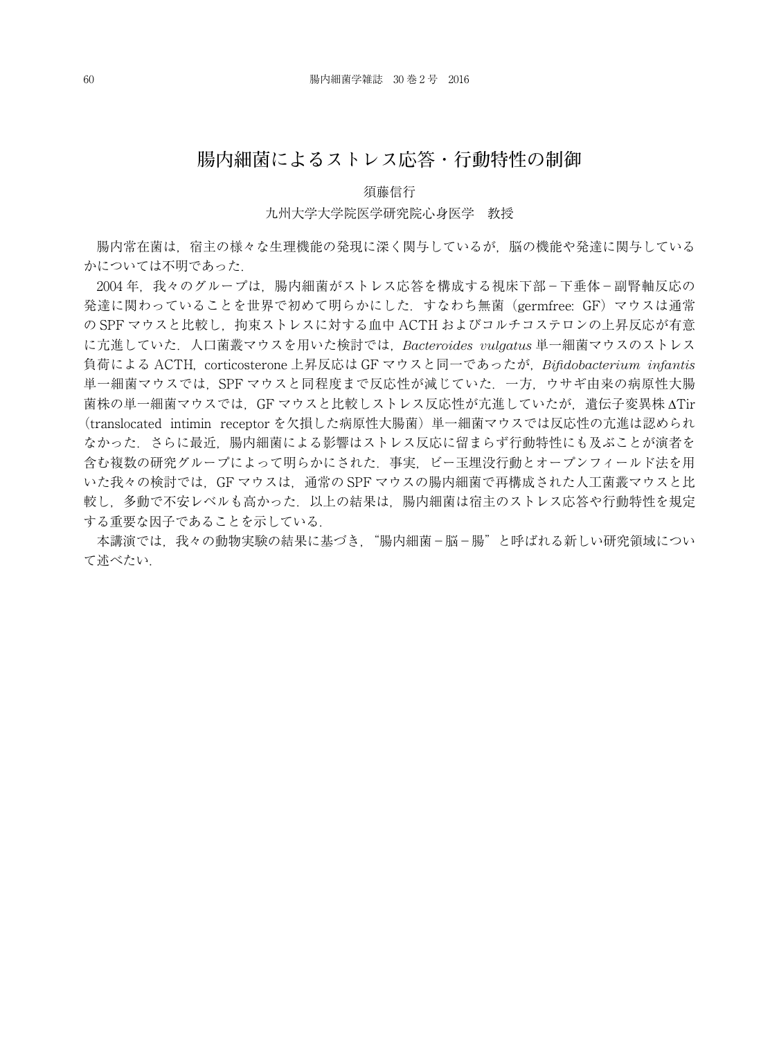# **腸内細菌によるストレス応答・行動特性の制御**

### 須藤信行

#### 九州大学大学院医学研究院心身医学 教授

腸内常在菌は,宿主の様々な生理機能の発現に深く関与しているが,脳の機能や発達に関与している かについては不明であった.

2004年,我々のグループは,腸内細菌がストレス応答を構成する視床下部-下垂体-副腎軸反応の 発達に関わっていることを世界で初めて明らかにした.すなわち無菌(germfree: GF)マウスは通常 の SPF マウスと比較し、拘束ストレスに対する血中 ACTH およびコルチコステロンの上昇反応が有意 に亢進していた.人口菌叢マウスを用いた検討では,*Bacteroides vulgatus* 単一細菌マウスのストレス 負荷による ACTH, corticosterone 上昇反応は GF マウスと同一であったが,*Bifidobacterium infantis* 単一細菌マウスでは, SPF マウスと同程度まで反応性が減じていた. 一方, ウサギ由来の病原性大腸 菌株の単一細菌マウスでは,GF マウスと比較しストレス反応性が亢進していたが,遺伝子変異株 ∆Tir (translocated intimin receptor を欠損した病原性大腸菌)単一細菌マウスでは反応性の亢進は認められ なかった.さらに最近,腸内細菌による影響はストレス反応に留まらず行動特性にも及ぶことが演者を 含む複数の研究グループによって明らかにされた.事実,ビー玉埋没行動とオープンフィールド法を用 いた我々の検討では,GF マウスは,通常の SPF マウスの腸内細菌で再構成された人工菌叢マウスと比 較し,多動で不安レベルも高かった.以上の結果は,腸内細菌は宿主のストレス応答や行動特性を規定 する重要な因子であることを示している.

本講演では、我々の動物実験の結果に基づき、"腸内細菌-脳-腸"と呼ばれる新しい研究領域につい て述べたい.